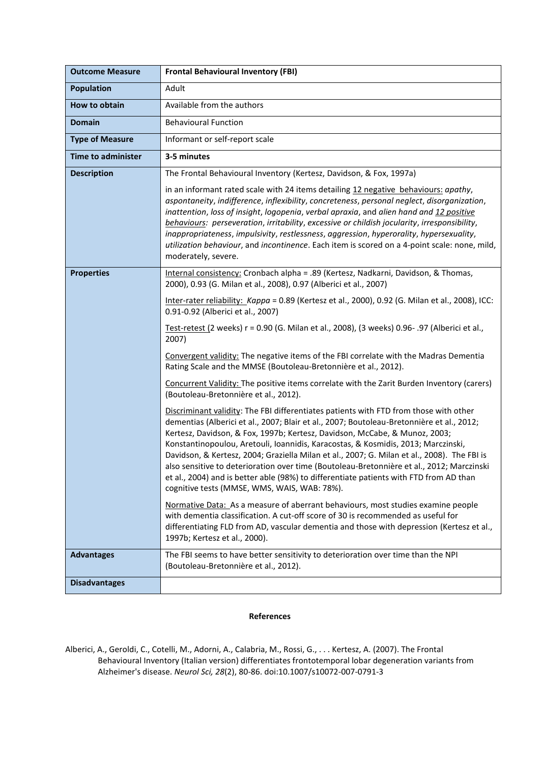| <b>Outcome Measure</b>    | <b>Frontal Behavioural Inventory (FBI)</b>                                                                                                                                                                                                                                                                                                                                                                                                                                                                                                                                                                                                                                                  |
|---------------------------|---------------------------------------------------------------------------------------------------------------------------------------------------------------------------------------------------------------------------------------------------------------------------------------------------------------------------------------------------------------------------------------------------------------------------------------------------------------------------------------------------------------------------------------------------------------------------------------------------------------------------------------------------------------------------------------------|
| <b>Population</b>         | Adult                                                                                                                                                                                                                                                                                                                                                                                                                                                                                                                                                                                                                                                                                       |
| How to obtain             | Available from the authors                                                                                                                                                                                                                                                                                                                                                                                                                                                                                                                                                                                                                                                                  |
| <b>Domain</b>             | <b>Behavioural Function</b>                                                                                                                                                                                                                                                                                                                                                                                                                                                                                                                                                                                                                                                                 |
| <b>Type of Measure</b>    | Informant or self-report scale                                                                                                                                                                                                                                                                                                                                                                                                                                                                                                                                                                                                                                                              |
| <b>Time to administer</b> | 3-5 minutes                                                                                                                                                                                                                                                                                                                                                                                                                                                                                                                                                                                                                                                                                 |
| <b>Description</b>        | The Frontal Behavioural Inventory (Kertesz, Davidson, & Fox, 1997a)                                                                                                                                                                                                                                                                                                                                                                                                                                                                                                                                                                                                                         |
|                           | in an informant rated scale with 24 items detailing 12 negative behaviours: apathy,<br>aspontaneity, indifference, inflexibility, concreteness, personal neglect, disorganization,<br>inattention, loss of insight, logopenia, verbal apraxia, and alien hand and 12 positive<br>behaviours: perseveration, irritability, excessive or childish jocularity, irresponsibility,<br>inappropriateness, impulsivity, restlessness, aggression, hyperorality, hypersexuality,<br>utilization behaviour, and incontinence. Each item is scored on a 4-point scale: none, mild,<br>moderately, severe.                                                                                             |
| <b>Properties</b>         | Internal consistency: Cronbach alpha = .89 (Kertesz, Nadkarni, Davidson, & Thomas,<br>2000), 0.93 (G. Milan et al., 2008), 0.97 (Alberici et al., 2007)                                                                                                                                                                                                                                                                                                                                                                                                                                                                                                                                     |
|                           | Inter-rater reliability: Kappa = 0.89 (Kertesz et al., 2000), 0.92 (G. Milan et al., 2008), ICC:<br>0.91-0.92 (Alberici et al., 2007)                                                                                                                                                                                                                                                                                                                                                                                                                                                                                                                                                       |
|                           | Test-retest (2 weeks) r = 0.90 (G. Milan et al., 2008), (3 weeks) 0.96-.97 (Alberici et al.,<br>2007)                                                                                                                                                                                                                                                                                                                                                                                                                                                                                                                                                                                       |
|                           | Convergent validity: The negative items of the FBI correlate with the Madras Dementia<br>Rating Scale and the MMSE (Boutoleau-Bretonnière et al., 2012).                                                                                                                                                                                                                                                                                                                                                                                                                                                                                                                                    |
|                           | Concurrent Validity: The positive items correlate with the Zarit Burden Inventory (carers)<br>(Boutoleau-Bretonnière et al., 2012).                                                                                                                                                                                                                                                                                                                                                                                                                                                                                                                                                         |
|                           | Discriminant validity: The FBI differentiates patients with FTD from those with other<br>dementias (Alberici et al., 2007; Blair et al., 2007; Boutoleau-Bretonnière et al., 2012;<br>Kertesz, Davidson, & Fox, 1997b; Kertesz, Davidson, McCabe, & Munoz, 2003;<br>Konstantinopoulou, Aretouli, Ioannidis, Karacostas, & Kosmidis, 2013; Marczinski,<br>Davidson, & Kertesz, 2004; Graziella Milan et al., 2007; G. Milan et al., 2008). The FBI is<br>also sensitive to deterioration over time (Boutoleau-Bretonnière et al., 2012; Marczinski<br>et al., 2004) and is better able (98%) to differentiate patients with FTD from AD than<br>cognitive tests (MMSE, WMS, WAIS, WAB: 78%). |
|                           | Normative Data: As a measure of aberrant behaviours, most studies examine people<br>with dementia classification. A cut-off score of 30 is recommended as useful for<br>differentiating FLD from AD, vascular dementia and those with depression (Kertesz et al.,<br>1997b; Kertesz et al., 2000).                                                                                                                                                                                                                                                                                                                                                                                          |
| <b>Advantages</b>         | The FBI seems to have better sensitivity to deterioration over time than the NPI<br>(Boutoleau-Bretonnière et al., 2012).                                                                                                                                                                                                                                                                                                                                                                                                                                                                                                                                                                   |
| <b>Disadvantages</b>      |                                                                                                                                                                                                                                                                                                                                                                                                                                                                                                                                                                                                                                                                                             |

## **References**

Alberici, A., Geroldi, C., Cotelli, M., Adorni, A., Calabria, M., Rossi, G., . . . Kertesz, A. (2007). The Frontal Behavioural Inventory (Italian version) differentiates frontotemporal lobar degeneration variants from Alzheimer's disease. *Neurol Sci, 28*(2), 80-86. doi:10.1007/s10072-007-0791-3